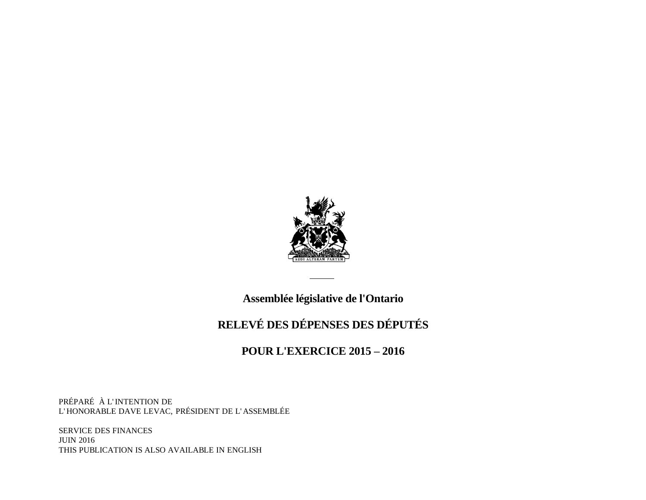

#### **Assemblée législative de l'Ontario**

## **RELEVÉ DES DÉPENSES DES DÉPUTÉS**

#### **POUR L'EXERCICE 2015 – 2016**

PRÉPARÉ À L' INTENTION DE L' HONORABLE DAVE LEVAC, PRÉSIDENT DE L' ASSEMBLÉE

SERVICE DES FINANCES JUIN 2016 THIS PUBLICATION IS ALSO AVAILABLE IN ENGLISH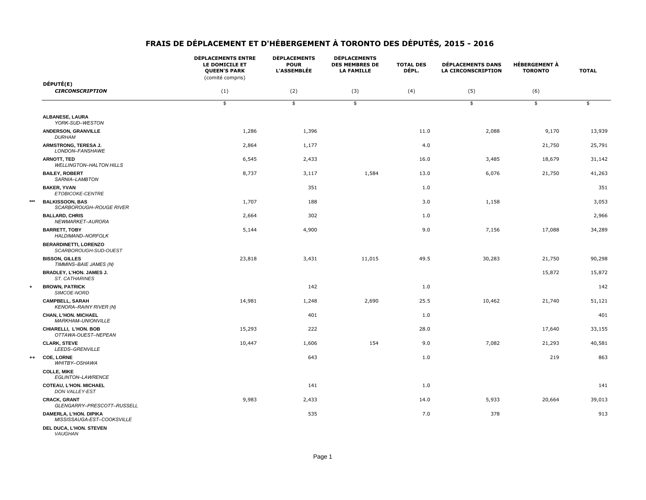|      |                                                         | <b>DÉPLACEMENTS ENTRE</b><br>LE DOMICILE ET<br><b>QUEEN'S PARK</b><br>(comité compris) | <b>DÉPLACEMENTS</b><br><b>POUR</b><br><b>L'ASSEMBLÉE</b> | <b>DÉPLACEMENTS</b><br><b>DES MEMBRES DE</b><br><b>LA FAMILLE</b> | <b>TOTAL DES</b><br>DÉPL. | <b>DÉPLACEMENTS DANS</b><br><b>LA CIRCONSCRIPTION</b> | <b>HÉBERGEMENT À</b><br><b>TORONTO</b> | <b>TOTAL</b> |
|------|---------------------------------------------------------|----------------------------------------------------------------------------------------|----------------------------------------------------------|-------------------------------------------------------------------|---------------------------|-------------------------------------------------------|----------------------------------------|--------------|
|      | DÉPUTÉ(E)                                               |                                                                                        |                                                          |                                                                   |                           |                                                       |                                        |              |
|      | <b>CIRCONSCRIPTION</b>                                  | (1)                                                                                    | (2)                                                      | (3)                                                               | (4)                       | (5)                                                   | (6)                                    |              |
|      |                                                         | \$                                                                                     | $\frac{1}{2}$                                            | \$                                                                |                           | \$                                                    | \$                                     | \$           |
|      | ALBANESE, LAURA<br>YORK-SUD-WESTON                      |                                                                                        |                                                          |                                                                   |                           |                                                       |                                        |              |
|      | <b>ANDERSON, GRANVILLE</b><br><b>DURHAM</b>             | 1,286                                                                                  | 1,396                                                    |                                                                   | 11.0                      | 2,088                                                 | 9,170                                  | 13,939       |
|      | ARMSTRONG, TERESA J.<br>LONDON-FANSHAWE                 | 2,864                                                                                  | 1,177                                                    |                                                                   | 4.0                       |                                                       | 21,750                                 | 25,791       |
|      | <b>ARNOTT, TED</b><br><b>WELLINGTON-HALTON HILLS</b>    | 6,545                                                                                  | 2,433                                                    |                                                                   | 16.0                      | 3,485                                                 | 18,679                                 | 31,142       |
|      | <b>BAILEY, ROBERT</b><br>SARNIA-LAMBTON                 | 8,737                                                                                  | 3,117                                                    | 1,584                                                             | 13.0                      | 6,076                                                 | 21,750                                 | 41,263       |
|      | <b>BAKER, YVAN</b><br>ETOBICOKE-CENTRE                  |                                                                                        | 351                                                      |                                                                   | 1.0                       |                                                       |                                        | 351          |
| ***  | <b>BALKISSOON, BAS</b><br>SCARBOROUGH-ROUGE RIVER       | 1,707                                                                                  | 188                                                      |                                                                   | 3.0                       | 1,158                                                 |                                        | 3,053        |
|      | <b>BALLARD, CHRIS</b><br>NEWMARKET-AURORA               | 2,664                                                                                  | 302                                                      |                                                                   | 1.0                       |                                                       |                                        | 2,966        |
|      | <b>BARRETT, TOBY</b><br>HALDIMAND-NORFOLK               | 5,144                                                                                  | 4,900                                                    |                                                                   | 9.0                       | 7,156                                                 | 17,088                                 | 34,289       |
|      | <b>BERARDINETTI, LORENZO</b><br>SCARBOROUGH-SUD-OUEST   |                                                                                        |                                                          |                                                                   |                           |                                                       |                                        |              |
|      | <b>BISSON, GILLES</b><br>TIMMINS-BAIE JAMES (N)         | 23,818                                                                                 | 3,431                                                    | 11,015                                                            | 49.5                      | 30,283                                                | 21,750                                 | 90,298       |
|      | <b>BRADLEY, L'HON. JAMES J.</b><br>ST. CATHARINES       |                                                                                        |                                                          |                                                                   |                           |                                                       | 15,872                                 | 15,872       |
| ۰    | <b>BROWN, PATRICK</b><br>SIMCOE-NORD                    |                                                                                        | 142                                                      |                                                                   | 1.0                       |                                                       |                                        | 142          |
|      | <b>CAMPBELL, SARAH</b><br><b>KENORA-RAINY RIVER (N)</b> | 14,981                                                                                 | 1,248                                                    | 2,690                                                             | 25.5                      | 10,462                                                | 21,740                                 | 51,121       |
|      | <b>CHAN, L'HON. MICHAEL</b><br>MARKHAM-UNIONVILLE       |                                                                                        | 401                                                      |                                                                   | 1.0                       |                                                       |                                        | 401          |
|      | CHIARELLI, L'HON. BOB<br>OTTAWA-OUEST-NEPEAN            | 15,293                                                                                 | 222                                                      |                                                                   | 28.0                      |                                                       | 17,640                                 | 33,155       |
|      | <b>CLARK, STEVE</b><br>LEEDS-GRENVILLE                  | 10,447                                                                                 | 1,606                                                    | 154                                                               | 9.0                       | 7,082                                                 | 21,293                                 | 40,581       |
| $++$ | <b>COE, LORNE</b><br>WHITBY-OSHAWA                      |                                                                                        | 643                                                      |                                                                   | 1.0                       |                                                       | 219                                    | 863          |
|      | <b>COLLE, MIKE</b><br>EGLINTON-LAWRENCE                 |                                                                                        |                                                          |                                                                   |                           |                                                       |                                        |              |
|      | <b>COTEAU, L'HON. MICHAEL</b><br>DON VALLEY-EST         |                                                                                        | 141                                                      |                                                                   | 1.0                       |                                                       |                                        | 141          |
|      | <b>CRACK, GRANT</b><br>GLENGARRY-PRESCOTT-RUSSELL       | 9,983                                                                                  | 2,433                                                    |                                                                   | 14.0                      | 5,933                                                 | 20,664                                 | 39,013       |
|      | DAMERLA, L'HON. DIPIKA<br>MISSISSAUGA-EST-COOKSVILLE    |                                                                                        | 535                                                      |                                                                   | 7.0                       | 378                                                   |                                        | 913          |
|      | DEL DUCA, L'HON. STEVEN                                 |                                                                                        |                                                          |                                                                   |                           |                                                       |                                        |              |

*VAUGHAN*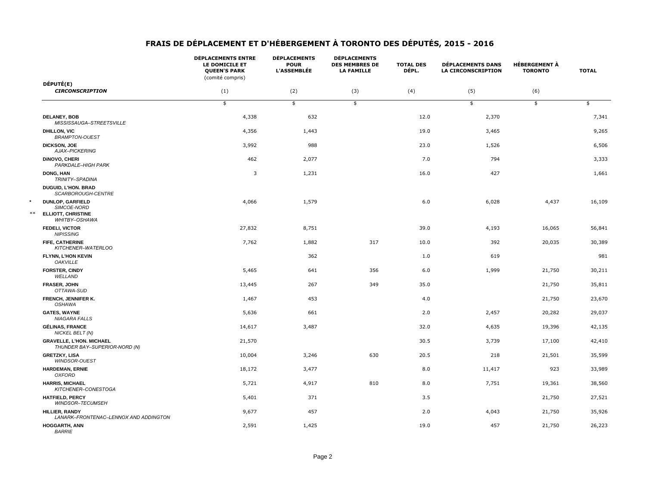|                  |                                                                                      | <b>DÉPLACEMENTS ENTRE</b><br>LE DOMICILE ET<br><b>QUEEN'S PARK</b><br>(comité compris) | <b>DÉPLACEMENTS</b><br><b>POUR</b><br><b>L'ASSEMBLÉE</b> | <b>DÉPLACEMENTS</b><br><b>DES MEMBRES DE</b><br><b>LA FAMILLE</b> | <b>TOTAL DES</b><br>DÉPL. | <b>DÉPLACEMENTS DANS</b><br><b>LA CIRCONSCRIPTION</b> | <b>HÉBERGEMENT À</b><br><b>TORONTO</b> | <b>TOTAL</b> |
|------------------|--------------------------------------------------------------------------------------|----------------------------------------------------------------------------------------|----------------------------------------------------------|-------------------------------------------------------------------|---------------------------|-------------------------------------------------------|----------------------------------------|--------------|
|                  | DÉPUTÉ(E)                                                                            |                                                                                        |                                                          |                                                                   |                           |                                                       |                                        |              |
|                  | <b>CIRCONSCRIPTION</b>                                                               | (1)                                                                                    | (2)                                                      | (3)                                                               | (4)                       | (5)                                                   | (6)                                    |              |
|                  |                                                                                      | \$                                                                                     | \$                                                       | $\frac{1}{2}$                                                     |                           | \$                                                    | \$                                     | \$           |
|                  | <b>DELANEY, BOB</b><br>MISSISSAUGA-STREETSVILLE                                      | 4,338                                                                                  | 632                                                      |                                                                   | 12.0                      | 2,370                                                 |                                        | 7,341        |
|                  | <b>DHILLON, VIC</b><br><b>BRAMPTON-OUEST</b>                                         | 4,356                                                                                  | 1,443                                                    |                                                                   | 19.0                      | 3,465                                                 |                                        | 9,265        |
|                  | <b>DICKSON, JOE</b><br>AJAX-PICKERING                                                | 3,992                                                                                  | 988                                                      |                                                                   | 23.0                      | 1,526                                                 |                                        | 6,506        |
|                  | DINOVO, CHERI<br>PARKDALE-HIGH PARK                                                  | 462                                                                                    | 2,077                                                    |                                                                   | 7.0                       | 794                                                   |                                        | 3,333        |
|                  | DONG, HAN<br>TRINITY-SPADINA                                                         | 3                                                                                      | 1,231                                                    |                                                                   | 16.0                      | 427                                                   |                                        | 1,661        |
|                  | <b>DUGUID, L'HON. BRAD</b><br>SCARBOROUGH-CENTRE                                     |                                                                                        |                                                          |                                                                   |                           |                                                       |                                        |              |
| $\star$<br>$***$ | <b>DUNLOP, GARFIELD</b><br>SIMCOE-NORD<br><b>ELLIOTT, CHRISTINE</b><br>WHITBY-OSHAWA | 4,066                                                                                  | 1,579                                                    |                                                                   | 6.0                       | 6,028                                                 | 4,437                                  | 16,109       |
|                  | <b>FEDELI, VICTOR</b><br><b>NIPISSING</b>                                            | 27,832                                                                                 | 8,751                                                    |                                                                   | 39.0                      | 4,193                                                 | 16,065                                 | 56,841       |
|                  | FIFE, CATHERINE<br>KITCHENER-WATERLOO                                                | 7,762                                                                                  | 1,882                                                    | 317                                                               | 10.0                      | 392                                                   | 20,035                                 | 30,389       |
|                  | FLYNN, L'HON KEVIN<br><b>OAKVILLE</b>                                                |                                                                                        | 362                                                      |                                                                   | 1.0                       | 619                                                   |                                        | 981          |
|                  | <b>FORSTER, CINDY</b><br>WELLAND                                                     | 5,465                                                                                  | 641                                                      | 356                                                               | 6.0                       | 1,999                                                 | 21,750                                 | 30,211       |
|                  | <b>FRASER, JOHN</b><br>OTTAWA-SUD                                                    | 13,445                                                                                 | 267                                                      | 349                                                               | 35.0                      |                                                       | 21,750                                 | 35,811       |
|                  | FRENCH, JENNIFER K.<br>OSHAWA                                                        | 1,467                                                                                  | 453                                                      |                                                                   | 4.0                       |                                                       | 21,750                                 | 23,670       |
|                  | <b>GATES, WAYNE</b><br><b>NIAGARA FALLS</b>                                          | 5,636                                                                                  | 661                                                      |                                                                   | 2.0                       | 2,457                                                 | 20,282                                 | 29,037       |
|                  | <b>GÉLINAS, FRANCE</b><br>NICKEL BELT (N)                                            | 14,617                                                                                 | 3,487                                                    |                                                                   | 32.0                      | 4,635                                                 | 19,396                                 | 42,135       |
|                  | <b>GRAVELLE, L'HON. MICHAEL</b><br>THUNDER BAY-SUPERIOR-NORD (N)                     | 21,570                                                                                 |                                                          |                                                                   | 30.5                      | 3,739                                                 | 17,100                                 | 42,410       |
|                  | <b>GRETZKY, LISA</b><br>WINDSOR-OUEST                                                | 10,004                                                                                 | 3,246                                                    | 630                                                               | 20.5                      | 218                                                   | 21,501                                 | 35,599       |
|                  | <b>HARDEMAN, ERNIE</b><br><b>OXFORD</b>                                              | 18,172                                                                                 | 3,477                                                    |                                                                   | 8.0                       | 11,417                                                | 923                                    | 33,989       |
|                  | <b>HARRIS, MICHAEL</b><br>KITCHENER-CONESTOGA                                        | 5,721                                                                                  | 4,917                                                    | 810                                                               | 8.0                       | 7,751                                                 | 19,361                                 | 38,560       |
|                  | <b>HATFIELD, PERCY</b><br>WINDSOR-TECUMSEH                                           | 5,401                                                                                  | 371                                                      |                                                                   | 3.5                       |                                                       | 21,750                                 | 27,521       |
|                  | <b>HILLIER, RANDY</b><br>LANARK-FRONTENAC-LENNOX AND ADDINGTON                       | 9,677                                                                                  | 457                                                      |                                                                   | 2.0                       | 4,043                                                 | 21,750                                 | 35,926       |
|                  | <b>HOGGARTH, ANN</b><br><b>BARRIE</b>                                                | 2,591                                                                                  | 1,425                                                    |                                                                   | 19.0                      | 457                                                   | 21,750                                 | 26,223       |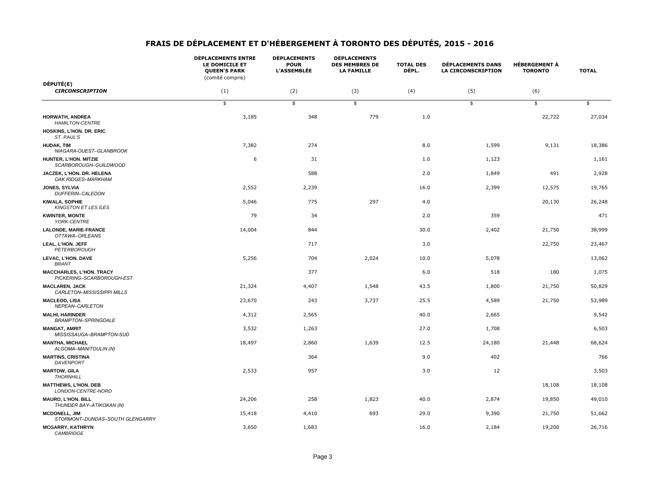|                                                              | <b>DÉPLACEMENTS ENTRE</b><br>LE DOMICILE ET<br><b>QUEEN'S PARK</b><br>(comité compris) | <b>DÉPLACEMENTS</b><br><b>POUR</b><br><b>L'ASSEMBLÉE</b> | <b>DÉPLACEMENTS</b><br><b>DES MEMBRES DE</b><br><b>LA FAMILLE</b> | <b>TOTAL DES</b><br>DÉPL. | <b>DÉPLACEMENTS DANS</b><br><b>LA CIRCONSCRIPTION</b> | <b>HÉBERGEMENT À</b><br><b>TORONTO</b> | <b>TOTAL</b> |
|--------------------------------------------------------------|----------------------------------------------------------------------------------------|----------------------------------------------------------|-------------------------------------------------------------------|---------------------------|-------------------------------------------------------|----------------------------------------|--------------|
| DÉPUTÉ(E)                                                    |                                                                                        |                                                          |                                                                   |                           |                                                       |                                        |              |
| <b>CIRCONSCRIPTION</b>                                       | (1)                                                                                    | (2)                                                      | (3)                                                               | (4)                       | (5)                                                   | (6)                                    |              |
|                                                              | \$                                                                                     | \$                                                       | \$                                                                |                           | \$                                                    | \$                                     | \$           |
| <b>HORWATH, ANDREA</b><br><b>HAMILTON-CENTRE</b>             | 3,185                                                                                  | 348                                                      | 779                                                               | $1.0\,$                   |                                                       | 22,722                                 | 27,034       |
| HOSKINS, L'HON. DR. ERIC<br>ST. PAUL'S                       |                                                                                        |                                                          |                                                                   |                           |                                                       |                                        |              |
| <b>HUDAK, TIM</b><br>NIAGARA-OUEST-GLANBROOK                 | 7,382                                                                                  | 274                                                      |                                                                   | 8.0                       | 1,599                                                 | 9,131                                  | 18,386       |
| HUNTER, L'HON. MITZIE<br>SCARBOROUGH-GUILDWOOD               | 6                                                                                      | 31                                                       |                                                                   | 1.0                       | 1,123                                                 |                                        | 1,161        |
| JACZEK, L'HON. DR. HELENA<br>OAK RIDGES-MARKHAM              |                                                                                        | 588                                                      |                                                                   | 2.0                       | 1,849                                                 | 491                                    | 2,928        |
| JONES, SYLVIA<br>DUFFERIN-CALEDON                            | 2,552                                                                                  | 2,239                                                    |                                                                   | 16.0                      | 2,399                                                 | 12,575                                 | 19,765       |
| <b>KIWALA, SOPHIE</b><br><b>KINGSTON ET LES ÏLES</b>         | 5,046                                                                                  | 775                                                      | 297                                                               | 4.0                       |                                                       | 20,130                                 | 26,248       |
| <b>KWINTER, MONTE</b><br>YORK-CENTRE                         | 79                                                                                     | 34                                                       |                                                                   | 2.0                       | 359                                                   |                                        | 471          |
| <b>LALONDE, MARIE-FRANCE</b><br>OTTAWA-ORLÉANS               | 14,004                                                                                 | 844                                                      |                                                                   | 30.0                      | 2,402                                                 | 21,750                                 | 38,999       |
| LEAL, L'HON. JEFF<br>PETERBOROUGH                            |                                                                                        | 717                                                      |                                                                   | 3.0                       |                                                       | 22,750                                 | 23,467       |
| LEVAC, L'HON. DAVE<br><b>BRANT</b>                           | 5,256                                                                                  | 704                                                      | 2,024                                                             | 10.0                      | 5,078                                                 |                                        | 13,062       |
| <b>MACCHARLES, L'HON. TRACY</b><br>PICKERING-SCARBOROUGH-EST |                                                                                        | 377                                                      |                                                                   | $6.0$                     | 518                                                   | 180                                    | 1,075        |
| <b>MACLAREN, JACK</b><br>CARLETON-MISSISSIPPI MILLS          | 21,324                                                                                 | 4,407                                                    | 1,548                                                             | 43.5                      | 1,800                                                 | 21,750                                 | 50,829       |
| <b>MACLEOD, LISA</b><br>NEPEAN-CARLETON                      | 23,670                                                                                 | 243                                                      | 3,737                                                             | 25.5                      | 4,589                                                 | 21,750                                 | 53,989       |
| <b>MALHI, HARINDER</b><br><b>BRAMPTON-SPRINGDALE</b>         | 4,312                                                                                  | 2,565                                                    |                                                                   | 40.0                      | 2,665                                                 |                                        | 9,542        |
| <b>MANGAT, AMRIT</b><br>MISSISSAUGA-BRAMPTON-SUD             | 3,532                                                                                  | 1,263                                                    |                                                                   | 27.0                      | 1,708                                                 |                                        | 6,503        |
| <b>MANTHA, MICHAEL</b><br>ALGOMA-MANITOULIN (N)              | 18,497                                                                                 | 2,860                                                    | 1,639                                                             | 12.5                      | 24,180                                                | 21,448                                 | 68,624       |
| <b>MARTINS, CRISTINA</b><br><b>DAVENPORT</b>                 |                                                                                        | 364                                                      |                                                                   | 9.0                       | 402                                                   |                                        | 766          |
| <b>MARTOW, GILA</b><br><b>THORNHILL</b>                      | 2,533                                                                                  | 957                                                      |                                                                   | 3.0                       | 12                                                    |                                        | 3,503        |
| <b>MATTHEWS, L'HON. DEB</b><br>LONDON-CENTRE-NORD            |                                                                                        |                                                          |                                                                   |                           |                                                       | 18,108                                 | 18,108       |
| <b>MAURO, L'HON. BILL</b><br>THUNDER BAY-ATIKOKAN (N)        | 24,206                                                                                 | 258                                                      | 1,823                                                             | 40.0                      | 2,874                                                 | 19,850                                 | 49,010       |
| <b>MCDONELL, JIM</b><br>STORMONT-DUNDAS-SOUTH GLENGARRY      | 15,418                                                                                 | 4,410                                                    | 693                                                               | 29.0                      | 9,390                                                 | 21,750                                 | 51,662       |
| <b>MCGARRY, KATHRYN</b><br><b>CAMBRIDGE</b>                  | 3,650                                                                                  | 1,683                                                    |                                                                   | 16.0                      | 2,184                                                 | 19,200                                 | 26,716       |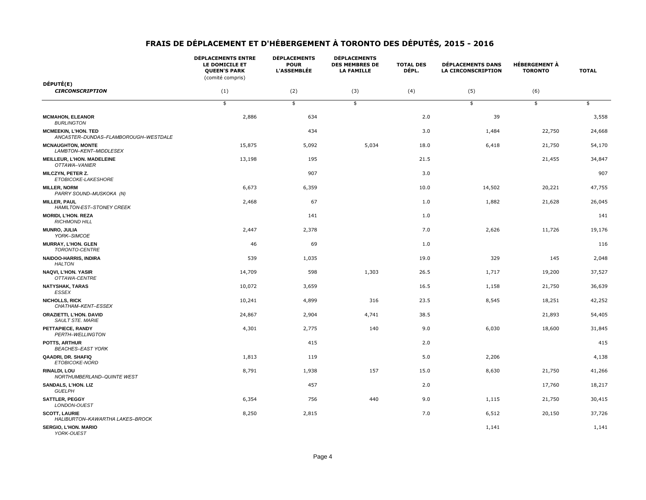|                                                                     | <b>DÉPLACEMENTS ENTRE</b><br>LE DOMICILE ET<br><b>QUEEN'S PARK</b><br>(comité compris) | <b>DÉPLACEMENTS</b><br><b>POUR</b><br><b>L'ASSEMBLÉE</b> | <b>DÉPLACEMENTS</b><br><b>DES MEMBRES DE</b><br><b>LA FAMILLE</b> | <b>TOTAL DES</b><br>DÉPL. | <b>DÉPLACEMENTS DANS</b><br><b>LA CIRCONSCRIPTION</b> | <b>HÉBERGEMENT À</b><br><b>TORONTO</b> | <b>TOTAL</b> |
|---------------------------------------------------------------------|----------------------------------------------------------------------------------------|----------------------------------------------------------|-------------------------------------------------------------------|---------------------------|-------------------------------------------------------|----------------------------------------|--------------|
| DÉPUTÉ(E)                                                           |                                                                                        |                                                          |                                                                   |                           |                                                       |                                        |              |
| <b>CIRCONSCRIPTION</b>                                              | (1)                                                                                    | (2)                                                      | (3)                                                               | (4)                       | (5)                                                   | (6)                                    |              |
|                                                                     | \$                                                                                     | \$                                                       | \$                                                                |                           | \$                                                    | \$                                     | \$           |
| <b>MCMAHON, ELEANOR</b><br><b>BURLINGTON</b>                        | 2,886                                                                                  | 634                                                      |                                                                   | 2.0                       | 39                                                    |                                        | 3,558        |
| <b>MCMEEKIN, L'HON. TED</b><br>ANCASTER-DUNDAS-FLAMBOROUGH-WESTDALE |                                                                                        | 434                                                      |                                                                   | 3.0                       | 1,484                                                 | 22,750                                 | 24,668       |
| <b>MCNAUGHTON, MONTE</b><br>LAMBTON-KENT-MIDDLESEX                  | 15,875                                                                                 | 5,092                                                    | 5,034                                                             | 18.0                      | 6,418                                                 | 21,750                                 | 54,170       |
| MEILLEUR, L'HON. MADELEINE<br>OTTAWA-VANIER                         | 13,198                                                                                 | 195                                                      |                                                                   | 21.5                      |                                                       | 21,455                                 | 34,847       |
| <b>MILCZYN, PETER Z.</b><br>ETOBICOKE-LAKESHORE                     |                                                                                        | 907                                                      |                                                                   | 3.0                       |                                                       |                                        | 907          |
| <b>MILLER, NORM</b><br>PARRY SOUND-MUSKOKA (N)                      | 6,673                                                                                  | 6,359                                                    |                                                                   | 10.0                      | 14,502                                                | 20,221                                 | 47,755       |
| <b>MILLER, PAUL</b><br><b>HAMILTON-EST-STONEY CREEK</b>             | 2,468                                                                                  | 67                                                       |                                                                   | 1.0                       | 1,882                                                 | 21,628                                 | 26,045       |
| <b>MORIDI, L'HON. REZA</b><br><b>RICHMOND HILL</b>                  |                                                                                        | 141                                                      |                                                                   | 1.0                       |                                                       |                                        | 141          |
| <b>MUNRO, JULIA</b><br>YORK-SIMCOE                                  | 2,447                                                                                  | 2,378                                                    |                                                                   | 7.0                       | 2,626                                                 | 11,726                                 | 19,176       |
| <b>MURRAY, L'HON. GLEN</b><br>TORONTO-CENTRE                        | 46                                                                                     | 69                                                       |                                                                   | 1.0                       |                                                       |                                        | 116          |
| <b>NAIDOO-HARRIS, INDIRA</b><br><b>HALTON</b>                       | 539                                                                                    | 1,035                                                    |                                                                   | 19.0                      | 329                                                   | 145                                    | 2,048        |
| <b>NAQVI, L'HON. YASIR</b><br>OTTAWA-CENTRE                         | 14,709                                                                                 | 598                                                      | 1,303                                                             | 26.5                      | 1,717                                                 | 19,200                                 | 37,527       |
| <b>NATYSHAK, TARAS</b><br><b>ESSEX</b>                              | 10,072                                                                                 | 3,659                                                    |                                                                   | 16.5                      | 1,158                                                 | 21,750                                 | 36,639       |
| <b>NICHOLLS, RICK</b><br>CHATHAM-KENT-ESSEX                         | 10,241                                                                                 | 4,899                                                    | 316                                                               | 23.5                      | 8,545                                                 | 18,251                                 | 42,252       |
| <b>ORAZIETTI, L'HON. DAVID</b><br>SAULT STE. MARIE                  | 24,867                                                                                 | 2,904                                                    | 4,741                                                             | 38.5                      |                                                       | 21,893                                 | 54,405       |
| PETTAPIECE, RANDY<br>PERTH-WELLINGTON                               | 4,301                                                                                  | 2,775                                                    | 140                                                               | 9.0                       | 6,030                                                 | 18,600                                 | 31,845       |
| POTTS, ARTHUR<br><b>BEACHES-EAST YORK</b>                           |                                                                                        | 415                                                      |                                                                   | 2.0                       |                                                       |                                        | 415          |
| QAADRI, DR. SHAFIQ<br>ETOBICOKE-NORD                                | 1,813                                                                                  | 119                                                      |                                                                   | 5.0                       | 2,206                                                 |                                        | 4,138        |
| <b>RINALDI, LOU</b><br>NORTHUMBERLAND-QUINTE WEST                   | 8,791                                                                                  | 1,938                                                    | 157                                                               | 15.0                      | 8,630                                                 | 21,750                                 | 41,266       |
| <b>SANDALS, L'HON. LIZ</b><br><b>GUELPH</b>                         |                                                                                        | 457                                                      |                                                                   | 2.0                       |                                                       | 17,760                                 | 18,217       |
| <b>SATTLER, PEGGY</b><br>LONDON-OUEST                               | 6,354                                                                                  | 756                                                      | 440                                                               | 9.0                       | 1,115                                                 | 21,750                                 | 30,415       |
| <b>SCOTT, LAURIE</b><br>HALIBURTON-KAWARTHA LAKES-BROCK             | 8,250                                                                                  | 2,815                                                    |                                                                   | 7.0                       | 6,512                                                 | 20,150                                 | 37,726       |
| <b>SERGIO, L'HON. MARIO</b><br>YORK-OUEST                           |                                                                                        |                                                          |                                                                   |                           | 1,141                                                 |                                        | 1,141        |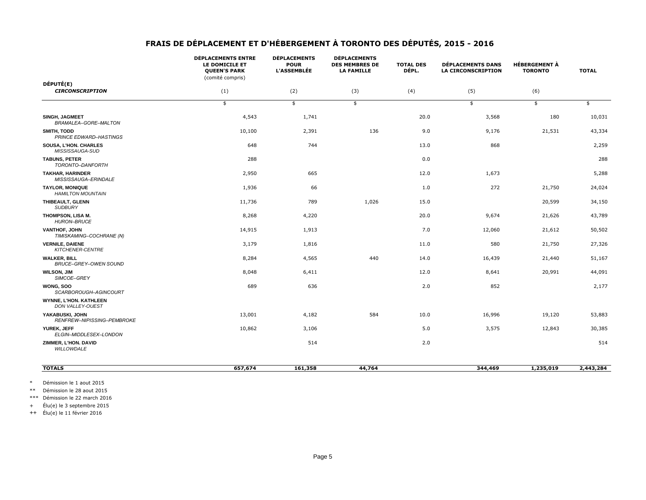|                                                     | <b>DÉPLACEMENTS ENTRE</b><br>LE DOMICILE ET<br><b>QUEEN'S PARK</b><br>(comité compris) | <b>DÉPLACEMENTS</b><br><b>POUR</b><br><b>L'ASSEMBLÉE</b> | <b>DÉPLACEMENTS</b><br><b>DES MEMBRES DE</b><br><b>LA FAMILLE</b> | <b>TOTAL DES</b><br>DÉPL. | <b>DÉPLACEMENTS DANS</b><br><b>LA CIRCONSCRIPTION</b> | <b>HÉBERGEMENT À</b><br><b>TORONTO</b> | <b>TOTAL</b>  |
|-----------------------------------------------------|----------------------------------------------------------------------------------------|----------------------------------------------------------|-------------------------------------------------------------------|---------------------------|-------------------------------------------------------|----------------------------------------|---------------|
| DÉPUTÉ(E)<br><b>CIRCONSCRIPTION</b>                 | (1)                                                                                    | (2)                                                      | (3)                                                               | (4)                       | (5)                                                   | (6)                                    |               |
|                                                     | $\overline{\ast}$                                                                      | $\Rightarrow$                                            | $\overline{\ast}$                                                 |                           | $\Rightarrow$                                         | $\Rightarrow$                          | $\frac{1}{2}$ |
| <b>SINGH, JAGMEET</b><br>BRAMALEA-GORE-MALTON       | 4,543                                                                                  | 1,741                                                    |                                                                   | 20.0                      | 3,568                                                 | 180                                    | 10,031        |
| <b>SMITH, TODD</b><br>PRINCE EDWARD-HASTINGS        | 10,100                                                                                 | 2,391                                                    | 136                                                               | 9.0                       | 9,176                                                 | 21,531                                 | 43,334        |
| <b>SOUSA, L'HON. CHARLES</b><br>MISSISSAUGA-SUD     | 648                                                                                    | 744                                                      |                                                                   | 13.0                      | 868                                                   |                                        | 2,259         |
| <b>TABUNS, PETER</b><br>TORONTO-DANFORTH            | 288                                                                                    |                                                          |                                                                   | 0.0                       |                                                       |                                        | 288           |
| <b>TAKHAR, HARINDER</b><br>MISSISSAUGA-ERINDALE     | 2,950                                                                                  | 665                                                      |                                                                   | 12.0                      | 1,673                                                 |                                        | 5,288         |
| <b>TAYLOR, MONIQUE</b><br><b>HAMILTON MOUNTAIN</b>  | 1,936                                                                                  | 66                                                       |                                                                   | 1.0                       | 272                                                   | 21,750                                 | 24,024        |
| THIBEAULT, GLENN<br><b>SUDBURY</b>                  | 11,736                                                                                 | 789                                                      | 1,026                                                             | 15.0                      |                                                       | 20,599                                 | 34,150        |
| THOMPSON, LISA M.<br><b>HURON-BRUCE</b>             | 8,268                                                                                  | 4,220                                                    |                                                                   | 20.0                      | 9,674                                                 | 21,626                                 | 43,789        |
| <b>VANTHOF, JOHN</b><br>TIMISKAMING-COCHRANE (N)    | 14,915                                                                                 | 1,913                                                    |                                                                   | 7.0                       | 12,060                                                | 21,612                                 | 50,502        |
| <b>VERNILE, DAIENE</b><br>KITCHENER-CENTRE          | 3,179                                                                                  | 1,816                                                    |                                                                   | 11.0                      | 580                                                   | 21,750                                 | 27,326        |
| <b>WALKER, BILL</b><br><b>BRUCE-GREY-OWEN SOUND</b> | 8,284                                                                                  | 4,565                                                    | 440                                                               | 14.0                      | 16,439                                                | 21,440                                 | 51,167        |
| <b>WILSON, JIM</b><br>SIMCOE-GREY                   | 8,048                                                                                  | 6,411                                                    |                                                                   | 12.0                      | 8,641                                                 | 20,991                                 | 44,091        |
| WONG, SOO<br>SCARBOROUGH-AGINCOURT                  | 689                                                                                    | 636                                                      |                                                                   | 2.0                       | 852                                                   |                                        | 2,177         |
| <b>WYNNE, L'HON. KATHLEEN</b><br>DON VALLEY-OUEST   |                                                                                        |                                                          |                                                                   |                           |                                                       |                                        |               |
| YAKABUSKI, JOHN<br>RENFREW-NIPISSING-PEMBROKE       | 13,001                                                                                 | 4,182                                                    | 584                                                               | 10.0                      | 16,996                                                | 19,120                                 | 53,883        |
| YUREK, JEFF<br>ELGIN-MIDDLESEX-LONDON               | 10,862                                                                                 | 3,106                                                    |                                                                   | 5.0                       | 3,575                                                 | 12,843                                 | 30,385        |
| ZIMMER, L'HON. DAVID<br><b>WILLOWDALE</b>           |                                                                                        | 514                                                      |                                                                   | 2.0                       |                                                       |                                        | 514           |
| <b>TOTALS</b>                                       | 657,674                                                                                | 161,358                                                  | 44,764                                                            |                           | 344,469                                               | 1,235,019                              | 2,443,284     |

\* Démission le 1 aout 2015

\*\* Démission le 28 aout 2015

\*\*\* Démission le 22 march 2016

+ Élu(e) le 3 septembre 2015

++ Élu(e) le 11 février 2016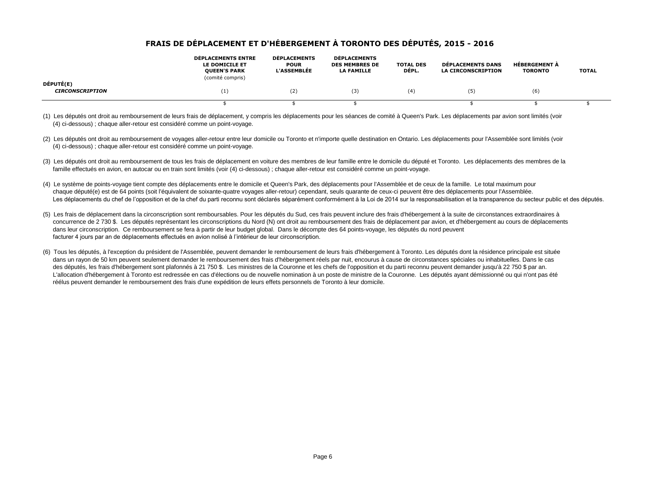|                                     | <b>DÉPLACEMENTS ENTRE</b><br>LE DOMICILE ET<br><b>QUEEN'S PARK</b><br>(comité compris) | <b>DÉPLACEMENTS</b><br><b>POUR</b><br><b>L'ASSEMBLÉE</b> | <b>DÉPLACEMENTS</b><br><b>DES MEMBRES DE</b><br><b>LA FAMILLE</b> | <b>TOTAL DES</b><br>DÉPL. | <b>DÉPLACEMENTS DANS</b><br><b>LA CIRCONSCRIPTION</b> | <b>HÉBERGEMENT À</b><br><b>TORONTO</b> | <b>TOTAL</b> |
|-------------------------------------|----------------------------------------------------------------------------------------|----------------------------------------------------------|-------------------------------------------------------------------|---------------------------|-------------------------------------------------------|----------------------------------------|--------------|
| DÉPUTÉ(E)<br><b>CIRCONSCRIPTION</b> | (1)                                                                                    | (2)                                                      | (3)                                                               | (4)                       | (5)                                                   | (6)                                    |              |
|                                     |                                                                                        |                                                          |                                                                   |                           |                                                       |                                        |              |

(1) Les députés ont droit au remboursement de leurs frais de déplacement, y compris les déplacements pour les séances de comité à Queen's Park. Les déplacements par avion sont limités (voir (4) ci-dessous) ; chaque aller-retour est considéré comme un point-voyage.

- (2) Les députés ont droit au remboursement de voyages aller-retour entre leur domicile ou Toronto et n'importe quelle destination en Ontario. Les déplacements pour l'Assemblée sont limités (voir (4) ci-dessous) ; chaque aller-retour est considéré comme un point-voyage.
- (3) Les députés ont droit au remboursement de tous les frais de déplacement en voiture des membres de leur famille entre le domicile du député et Toronto. Les déplacements des membres de la famille effectués en avion, en autocar ou en train sont limités (voir (4) ci-dessous) ; chaque aller-retour est considéré comme un point-voyage.
- (4) Le système de points-voyage tient compte des déplacements entre le domicile et Queen's Park, des déplacements pour l'Assemblée et de ceux de la famille. Le total maximum pour chaque député(e) est de 64 points (soit l'équivalent de soixante-quatre voyages aller-retour) cependant, seuls quarante de ceux-ci peuvent être des déplacements pour l'Assemblée. Les déplacements du chef de l'opposition et de la chef du parti reconnu sont déclarés séparément conformément à la Loi de 2014 sur la responsabilisation et la transparence du secteur public et des députés.
- (5) Les frais de déplacement dans la circonscription sont remboursables. Pour les députés du Sud, ces frais peuvent inclure des frais d'hébergement à la suite de circonstances extraordinaires à concurrence de 2 730 \$. Les députés représentant les circonscriptions du Nord (N) ont droit au remboursement des frais de déplacement par avion, et d'hébergement au cours de déplacements dans leur circonscription. Ce remboursement se fera à partir de leur budget global. Dans le décompte des 64 points-voyage, les députés du nord peuvent facturer 4 jours par an de déplacements effectués en avion nolisé à l'intérieur de leur circonscription.
- (6) Tous les députés, à l'exception du président de l'Assemblée, peuvent demander le remboursement de leurs frais d'hébergement à Toronto. Les députés dont la résidence principale est située dans un rayon de 50 km peuvent seulement demander le remboursement des frais d'hébergement réels par nuit, encourus à cause de circonstances spéciales ou inhabituelles. Dans le cas des députés, les frais d'hébergement sont plafonnés à 21 750 \$. Les ministres de la Couronne et les chefs de l'opposition et du parti reconnu peuvent demander jusqu'à 22 750 \$ par an. L'allocation d'hébergement à Toronto est redressée en cas d'élections ou de nouvelle nomination à un poste de ministre de la Couronne. Les députés ayant démissionné ou qui n'ont pas été réélus peuvent demander le remboursement des frais d'une expédition de leurs effets personnels de Toronto à leur domicile.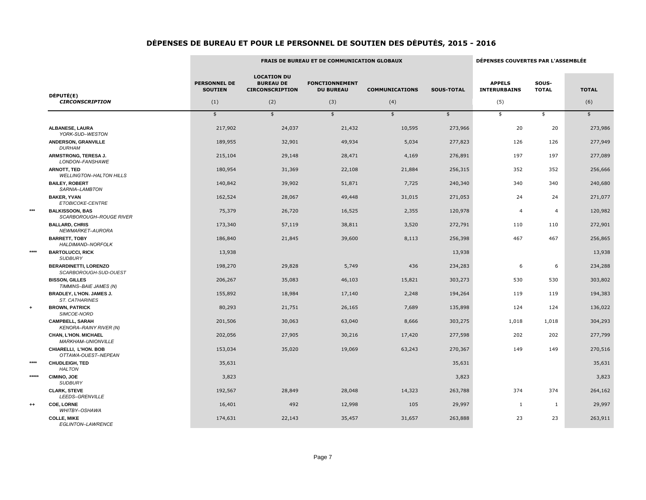|       |                                                          |                                       |                                                                  | FRAIS DE BUREAU ET DE COMMUNICATION GLOBAUX |                       |                   |                                      | DÉPENSES COUVERTES PAR L'ASSEMBLÉE |               |  |
|-------|----------------------------------------------------------|---------------------------------------|------------------------------------------------------------------|---------------------------------------------|-----------------------|-------------------|--------------------------------------|------------------------------------|---------------|--|
|       | DÉPUTÉ(E)                                                | <b>PERSONNEL DE</b><br><b>SOUTIEN</b> | <b>LOCATION DU</b><br><b>BUREAU DE</b><br><b>CIRCONSCRIPTION</b> | <b>FONCTIONNEMENT</b><br><b>DU BUREAU</b>   | <b>COMMUNICATIONS</b> | <b>SOUS-TOTAL</b> | <b>APPELS</b><br><b>INTERURBAINS</b> | SOUS-<br><b>TOTAL</b>              | <b>TOTAL</b>  |  |
|       | <b>CIRCONSCRIPTION</b>                                   | (1)                                   | (2)                                                              | (3)                                         | (4)                   |                   | (5)                                  |                                    | (6)           |  |
|       |                                                          | $\frac{1}{2}$                         | $\frac{1}{2}$                                                    | \$                                          | $\frac{1}{2}$         | $\frac{1}{2}$     | \$                                   | \$                                 | $\frac{1}{2}$ |  |
|       | <b>ALBANESE, LAURA</b><br>YORK-SUD-WESTON                | 217,902                               | 24,037                                                           | 21,432                                      | 10,595                | 273,966           | 20                                   | 20                                 | 273,986       |  |
|       | <b>ANDERSON, GRANVILLE</b><br><b>DURHAM</b>              | 189,955                               | 32,901                                                           | 49,934                                      | 5,034                 | 277,823           | 126                                  | 126                                | 277,949       |  |
|       | ARMSTRONG, TERESA J.<br>LONDON-FANSHAWE                  | 215,104                               | 29,148                                                           | 28,471                                      | 4,169                 | 276,891           | 197                                  | 197                                | 277,089       |  |
|       | <b>ARNOTT, TED</b><br><b>WELLINGTON-HALTON HILLS</b>     | 180,954                               | 31,369                                                           | 22,108                                      | 21,884                | 256,315           | 352                                  | 352                                | 256,666       |  |
|       | <b>BAILEY, ROBERT</b><br>SARNIA-LAMBTON                  | 140,842                               | 39,902                                                           | 51,871                                      | 7,725                 | 240,340           | 340                                  | 340                                | 240,680       |  |
|       | <b>BAKER, YVAN</b><br>ETOBICOKE-CENTRE                   | 162,524                               | 28,067                                                           | 49,448                                      | 31,015                | 271,053           | 24                                   | 24                                 | 271,077       |  |
| ***   | <b>BALKISSOON, BAS</b><br>SCARBOROUGH-ROUGE RIVER        | 75,379                                | 26,720                                                           | 16,525                                      | 2,355                 | 120,978           | 4                                    | 4                                  | 120,982       |  |
|       | <b>BALLARD, CHRIS</b><br>NEWMARKET-AURORA                | 173,340                               | 57,119                                                           | 38,811                                      | 3,520                 | 272,791           | 110                                  | 110                                | 272,901       |  |
|       | <b>BARRETT, TOBY</b><br>HALDIMAND-NORFOLK                | 186,840                               | 21,845                                                           | 39,600                                      | 8,113                 | 256,398           | 467                                  | 467                                | 256,865       |  |
| ****  | <b>BARTOLUCCI, RICK</b><br><b>SUDBURY</b>                | 13,938                                |                                                                  |                                             |                       | 13,938            |                                      |                                    | 13,938        |  |
|       | <b>BERARDINETTI, LORENZO</b><br>SCARBOROUGH-SUD-OUEST    | 198,270                               | 29,828                                                           | 5,749                                       | 436                   | 234,283           | 6                                    | 6                                  | 234,288       |  |
|       | <b>BISSON, GILLES</b><br>TIMMINS-BAIE JAMES (N)          | 206,267                               | 35,083                                                           | 46,103                                      | 15,821                | 303,273           | 530                                  | 530                                | 303,802       |  |
|       | <b>BRADLEY, L'HON. JAMES J.</b><br>ST. CATHARINES        | 155,892                               | 18,984                                                           | 17,140                                      | 2,248                 | 194,264           | 119                                  | 119                                | 194,383       |  |
|       | <b>BROWN, PATRICK</b><br>SIMCOE-NORD                     | 80,293                                | 21,751                                                           | 26,165                                      | 7,689                 | 135,898           | 124                                  | 124                                | 136,022       |  |
|       | <b>CAMPBELL, SARAH</b><br><b>KENORA-RAINY RIVER (N)</b>  | 201,506                               | 30,063                                                           | 63,040                                      | 8,666                 | 303,275           | 1,018                                | 1,018                              | 304,293       |  |
|       | <b>CHAN, L'HON. MICHAEL</b><br><b>MARKHAM-UNIONVILLE</b> | 202,056                               | 27,905                                                           | 30,216                                      | 17,420                | 277,598           | 202                                  | 202                                | 277,799       |  |
|       | CHIARELLI, L'HON. BOB<br>OTTAWA-OUEST-NEPEAN             | 153,034                               | 35,020                                                           | 19,069                                      | 63,243                | 270,367           | 149                                  | 149                                | 270,516       |  |
| ****  | <b>CHUDLEIGH, TED</b><br><b>HALTON</b>                   | 35,631                                |                                                                  |                                             |                       | 35,631            |                                      |                                    | 35,631        |  |
| ***** | <b>CIMINO, JOE</b><br><b>SUDBURY</b>                     | 3,823                                 |                                                                  |                                             |                       | 3,823             |                                      |                                    | 3,823         |  |
|       | <b>CLARK, STEVE</b><br>LEEDS-GRENVILLE                   | 192,567                               | 28,849                                                           | 28,048                                      | 14,323                | 263,788           | 374                                  | 374                                | 264,162       |  |
| ++    | <b>COE, LORNE</b><br>WHITBY-OSHAWA                       | 16,401                                | 492                                                              | 12,998                                      | 105                   | 29,997            | 1                                    | $\mathbf{1}$                       | 29,997        |  |
|       | <b>COLLE, MIKE</b><br>EGLINTON-LAWRENCE                  | 174,631                               | 22,143                                                           | 35,457                                      | 31,657                | 263,888           | 23                                   | 23                                 | 263,911       |  |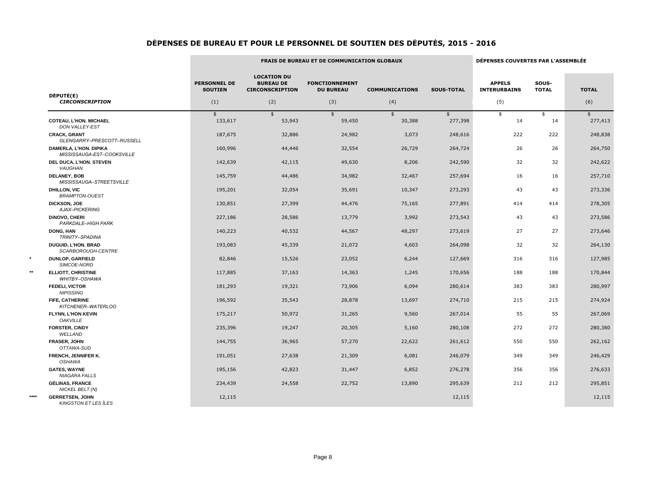|      |                                                      | <b>FRAIS DE BUREAU ET DE COMMUNICATION GLOBAUX</b> |                                                                  |                                           |                         |                          |                                      | DÉPENSES COUVERTES PAR L'ASSEMBLÉE |               |  |
|------|------------------------------------------------------|----------------------------------------------------|------------------------------------------------------------------|-------------------------------------------|-------------------------|--------------------------|--------------------------------------|------------------------------------|---------------|--|
|      |                                                      | <b>PERSONNEL DE</b><br><b>SOUTIEN</b>              | <b>LOCATION DU</b><br><b>BUREAU DE</b><br><b>CIRCONSCRIPTION</b> | <b>FONCTIONNEMENT</b><br><b>DU BUREAU</b> | <b>COMMUNICATIONS</b>   | <b>SOUS-TOTAL</b>        | <b>APPELS</b><br><b>INTERURBAINS</b> | SOUS-<br><b>TOTAL</b>              | <b>TOTAL</b>  |  |
|      | DÉPUTÉ(E)<br><b>CIRCONSCRIPTION</b>                  | (1)                                                | (2)                                                              | (3)                                       | (4)                     |                          | (5)                                  |                                    | (6)           |  |
|      | <b>COTEAU, L'HON. MICHAEL</b>                        | $\overline{\mathbf{3}}$<br>133,617                 | \$<br>53,943                                                     | \$<br>59,450                              | $\frac{1}{2}$<br>30,388 | $\frac{1}{2}$<br>277,398 | $\frac{1}{2}$<br>14                  | \$<br>14                           | \$<br>277,413 |  |
|      | <b>DON VALLEY-EST</b>                                |                                                    |                                                                  |                                           |                         |                          |                                      |                                    |               |  |
|      | <b>CRACK, GRANT</b><br>GLENGARRY-PRESCOTT-RUSSELL    | 187,675                                            | 32,886                                                           | 24,982                                    | 3,073                   | 248,616                  | 222                                  | 222                                | 248,838       |  |
|      | DAMERLA, L'HON. DIPIKA<br>MISSISSAUGA-EST-COOKSVILLE | 160,996                                            | 44,446                                                           | 32,554                                    | 26,729                  | 264,724                  | 26                                   | 26                                 | 264,750       |  |
|      | <b>DEL DUCA, L'HON. STEVEN</b><br>VAUGHAN            | 142,639                                            | 42,115                                                           | 49,630                                    | 8,206                   | 242,590                  | 32                                   | 32                                 | 242,622       |  |
|      | <b>DELANEY, BOB</b><br>MISSISSAUGA-STREETSVILLE      | 145,759                                            | 44,486                                                           | 34,982                                    | 32,467                  | 257,694                  | 16                                   | 16                                 | 257,710       |  |
|      | <b>DHILLON, VIC</b><br><b>BRAMPTON-OUEST</b>         | 195,201                                            | 32,054                                                           | 35,691                                    | 10,347                  | 273,293                  | 43                                   | 43                                 | 273,336       |  |
|      | <b>DICKSON, JOE</b><br>AJAX-PICKERING                | 130,851                                            | 27,399                                                           | 44,476                                    | 75,165                  | 277,891                  | 414                                  | 414                                | 278,305       |  |
|      | <b>DINOVO, CHERI</b><br>PARKDALE-HIGH PARK           | 227,186                                            | 28,586                                                           | 13,779                                    | 3,992                   | 273,543                  | 43                                   | 43                                 | 273,586       |  |
|      | DONG, HAN<br>TRINITY-SPADINA                         | 140,223                                            | 40,532                                                           | 44,567                                    | 48,297                  | 273,619                  | 27                                   | 27                                 | 273,646       |  |
|      | <b>DUGUID, L'HON. BRAD</b><br>SCARBOROUGH-CENTRE     | 193,083                                            | 45,339                                                           | 21,072                                    | 4,603                   | 264,098                  | 32                                   | 32                                 | 264,130       |  |
|      | <b>DUNLOP, GARFIELD</b><br>SIMCOE-NORD               | 82,846                                             | 15,526                                                           | 23,052                                    | 6,244                   | 127,669                  | 316                                  | 316                                | 127,985       |  |
| **   | <b>ELLIOTT, CHRISTINE</b><br>WHITBY-OSHAWA           | 117,885                                            | 37,163                                                           | 14,363                                    | 1,245                   | 170,656                  | 188                                  | 188                                | 170,844       |  |
|      | <b>FEDELI, VICTOR</b><br><b>NIPISSING</b>            | 181,293                                            | 19,321                                                           | 73,906                                    | 6,094                   | 280,614                  | 383                                  | 383                                | 280,997       |  |
|      | FIFE, CATHERINE<br>KITCHENER-WATERLOO                | 196,592                                            | 35,543                                                           | 28,878                                    | 13,697                  | 274,710                  | 215                                  | 215                                | 274,924       |  |
|      | <b>FLYNN, L'HON KEVIN</b><br><b>OAKVILLE</b>         | 175,217                                            | 50,972                                                           | 31,265                                    | 9,560                   | 267,014                  | 55                                   | 55                                 | 267,069       |  |
|      | <b>FORSTER, CINDY</b><br>WELLAND                     | 235,396                                            | 19,247                                                           | 20,305                                    | 5,160                   | 280,108                  | 272                                  | 272                                | 280,380       |  |
|      | <b>FRASER, JOHN</b><br>OTTAWA-SUD                    | 144,755                                            | 36,965                                                           | 57,270                                    | 22,622                  | 261,612                  | 550                                  | 550                                | 262,162       |  |
|      | FRENCH, JENNIFER K.<br>OSHAWA                        | 191,051                                            | 27,638                                                           | 21,309                                    | 6,081                   | 246,079                  | 349                                  | 349                                | 246,429       |  |
|      | <b>GATES, WAYNE</b><br>NIAGARA FALLS                 | 195,156                                            | 42,823                                                           | 31,447                                    | 6,852                   | 276,278                  | 356                                  | 356                                | 276,633       |  |
|      | <b>GÉLINAS, FRANCE</b><br>NICKEL BELT (N)            | 234,439                                            | 24,558                                                           | 22,752                                    | 13,890                  | 295,639                  | 212                                  | 212                                | 295,851       |  |
| **** | <b>GERRETSEN, JOHN</b><br>KINGSTON ET LES ÎLES       | 12,115                                             |                                                                  |                                           |                         | 12,115                   |                                      |                                    | 12,115        |  |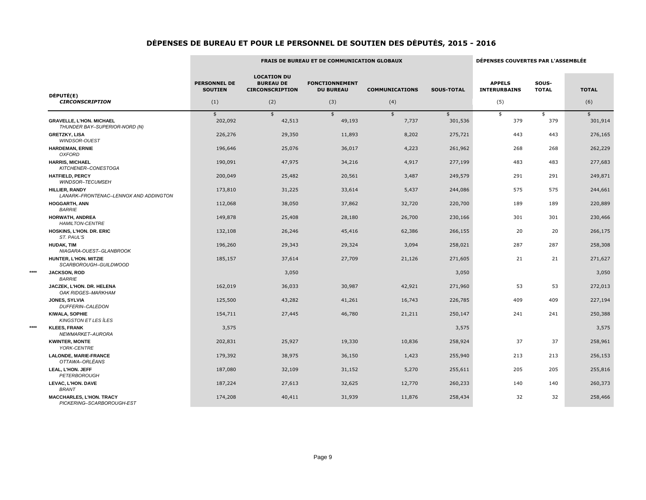|      |                                                                  | <b>FRAIS DE BUREAU ET DE COMMUNICATION GLOBAUX</b> |                                                                  |                                           | DÉPENSES COUVERTES PAR L'ASSEMBLÉE |                   |                                      |                       |              |
|------|------------------------------------------------------------------|----------------------------------------------------|------------------------------------------------------------------|-------------------------------------------|------------------------------------|-------------------|--------------------------------------|-----------------------|--------------|
|      |                                                                  | <b>PERSONNEL DE</b><br><b>SOUTIEN</b>              | <b>LOCATION DU</b><br><b>BUREAU DE</b><br><b>CIRCONSCRIPTION</b> | <b>FONCTIONNEMENT</b><br><b>DU BUREAU</b> | <b>COMMUNICATIONS</b>              | <b>SOUS-TOTAL</b> | <b>APPELS</b><br><b>INTERURBAINS</b> | SOUS-<br><b>TOTAL</b> | <b>TOTAL</b> |
|      | DÉPUTÉ(E)<br><b>CIRCONSCRIPTION</b>                              | (1)                                                | (2)                                                              | (3)                                       | (4)                                |                   | (5)                                  |                       | (6)          |
|      |                                                                  | \$                                                 | $\frac{1}{2}$                                                    | \$                                        | $\frac{1}{2}$                      | \$                | \$                                   | \$                    | \$           |
|      | <b>GRAVELLE, L'HON. MICHAEL</b><br>THUNDER BAY-SUPERIOR-NORD (N) | 202,092                                            | 42,513                                                           | 49,193                                    | 7,737                              | 301,536           | 379                                  | 379                   | 301,914      |
|      | <b>GRETZKY, LISA</b><br><b>WINDSOR-OUEST</b>                     | 226,276                                            | 29,350                                                           | 11,893                                    | 8,202                              | 275,721           | 443                                  | 443                   | 276,165      |
|      | <b>HARDEMAN, ERNIE</b><br><b>OXFORD</b>                          | 196,646                                            | 25,076                                                           | 36,017                                    | 4,223                              | 261,962           | 268                                  | 268                   | 262,229      |
|      | <b>HARRIS, MICHAEL</b><br>KITCHENER-CONESTOGA                    | 190,091                                            | 47,975                                                           | 34,216                                    | 4,917                              | 277,199           | 483                                  | 483                   | 277,683      |
|      | <b>HATFIELD, PERCY</b><br>WINDSOR-TECUMSEH                       | 200,049                                            | 25,482                                                           | 20,561                                    | 3,487                              | 249,579           | 291                                  | 291                   | 249,871      |
|      | <b>HILLIER, RANDY</b><br>LANARK-FRONTENAC-LENNOX AND ADDINGTON   | 173,810                                            | 31,225                                                           | 33,614                                    | 5,437                              | 244,086           | 575                                  | 575                   | 244,661      |
|      | <b>HOGGARTH, ANN</b><br><b>BARRIE</b>                            | 112,068                                            | 38,050                                                           | 37,862                                    | 32,720                             | 220,700           | 189                                  | 189                   | 220,889      |
|      | <b>HORWATH, ANDREA</b><br><b>HAMILTON-CENTRE</b>                 | 149,878                                            | 25,408                                                           | 28,180                                    | 26,700                             | 230,166           | 301                                  | 301                   | 230,466      |
|      | HOSKINS, L'HON. DR. ERIC<br>ST. PAUL'S                           | 132,108                                            | 26,246                                                           | 45,416                                    | 62,386                             | 266,155           | 20                                   | 20                    | 266,175      |
|      | <b>HUDAK, TIM</b><br>NIAGARA-OUEST-GLANBROOK                     | 196,260                                            | 29,343                                                           | 29,324                                    | 3,094                              | 258,021           | 287                                  | 287                   | 258,308      |
|      | HUNTER, L'HON. MITZIE<br>SCARBOROUGH-GUILDWOOD                   | 185,157                                            | 37,614                                                           | 27,709                                    | 21,126                             | 271,605           | 21                                   | 21                    | 271,627      |
| **** | <b>JACKSON, ROD</b><br><b>BARRIE</b>                             |                                                    | 3,050                                                            |                                           |                                    | 3,050             |                                      |                       | 3,050        |
|      | JACZEK, L'HON. DR. HELENA<br>OAK RIDGES-MARKHAM                  | 162,019                                            | 36,033                                                           | 30,987                                    | 42,921                             | 271,960           | 53                                   | 53                    | 272,013      |
|      | JONES, SYLVIA<br>DUFFERIN-CALEDON                                | 125,500                                            | 43,282                                                           | 41,261                                    | 16,743                             | 226,785           | 409                                  | 409                   | 227,194      |
|      | <b>KIWALA, SOPHIE</b><br><b>KINGSTON ET LES ÎLES</b>             | 154,711                                            | 27,445                                                           | 46,780                                    | 21,211                             | 250,147           | 241                                  | 241                   | 250,388      |
| **** | <b>KLEES, FRANK</b><br>NEWMARKET-AURORA                          | 3,575                                              |                                                                  |                                           |                                    | 3,575             |                                      |                       | 3,575        |
|      | <b>KWINTER, MONTE</b><br>YORK-CENTRE                             | 202,831                                            | 25,927                                                           | 19,330                                    | 10,836                             | 258,924           | 37                                   | 37                    | 258,961      |
|      | <b>LALONDE, MARIE-FRANCE</b><br>OTTAWA-ORLÉANS                   | 179,392                                            | 38,975                                                           | 36,150                                    | 1,423                              | 255,940           | 213                                  | 213                   | 256,153      |
|      | LEAL, L'HON. JEFF<br>PETERBOROUGH                                | 187,080                                            | 32,109                                                           | 31,152                                    | 5,270                              | 255,611           | 205                                  | 205                   | 255,816      |
|      | LEVAC, L'HON. DAVE<br><b>BRANT</b>                               | 187,224                                            | 27,613                                                           | 32,625                                    | 12,770                             | 260,233           | 140                                  | 140                   | 260,373      |
|      | <b>MACCHARLES, L'HON. TRACY</b><br>PICKERING-SCARBOROUGH-EST     | 174,208                                            | 40,411                                                           | 31,939                                    | 11,876                             | 258,434           | 32                                   | 32                    | 258,466      |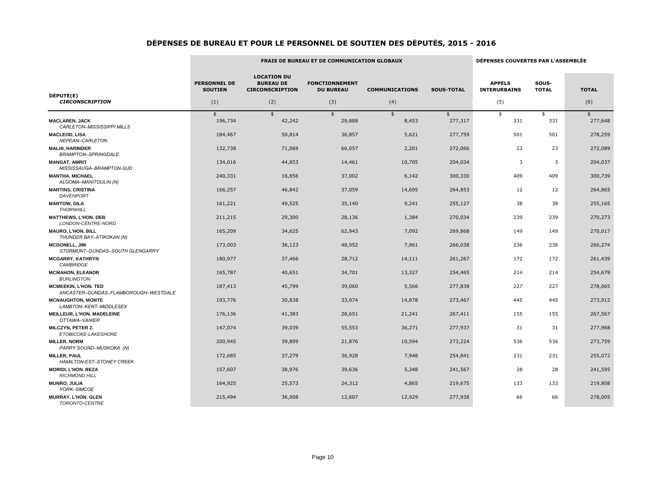|                                                                     |                                       |                                                                  | <b>FRAIS DE BUREAU ET DE COMMUNICATION GLOBAUX</b> |                       |                   | DÉPENSES COUVERTES PAR L'ASSEMBLÉE   |                       |               |  |
|---------------------------------------------------------------------|---------------------------------------|------------------------------------------------------------------|----------------------------------------------------|-----------------------|-------------------|--------------------------------------|-----------------------|---------------|--|
|                                                                     | <b>PERSONNEL DE</b><br><b>SOUTIEN</b> | <b>LOCATION DU</b><br><b>BUREAU DE</b><br><b>CIRCONSCRIPTION</b> | <b>FONCTIONNEMENT</b><br><b>DU BUREAU</b>          | <b>COMMUNICATIONS</b> | <b>SOUS-TOTAL</b> | <b>APPELS</b><br><b>INTERURBAINS</b> | SOUS-<br><b>TOTAL</b> | <b>TOTAL</b>  |  |
| DÉPUTÉ(E)<br><b>CIRCONSCRIPTION</b>                                 | (1)                                   | (2)                                                              | (3)                                                | (4)                   |                   | (5)                                  |                       | (6)           |  |
|                                                                     | \$                                    | $\frac{1}{2}$                                                    | $\frac{1}{2}$                                      | $\frac{1}{2}$         | $\frac{1}{2}$     | \$                                   | \$                    | $\frac{4}{5}$ |  |
| <b>MACLAREN, JACK</b><br>CARLETON-MISSISSIPPI MILLS                 | 196,734                               | 42,242                                                           | 29,888                                             | 8,453                 | 277,317           | 331                                  | 331                   | 277,648       |  |
| <b>MACLEOD, LISA</b><br>NEPEAN-CARLETON                             | 184,467                               | 50,814                                                           | 36,857                                             | 5,621                 | 277,759           | 501                                  | 501                   | 278,259       |  |
| <b>MALHI, HARINDER</b><br><b>BRAMPTON-SPRINGDALE</b>                | 132,738                               | 71,069                                                           | 66,057                                             | 2,201                 | 272,066           | 23                                   | 23                    | 272,089       |  |
| <b>MANGAT, AMRIT</b><br>MISSISSAUGA-BRAMPTON-SUD                    | 134,016                               | 44,853                                                           | 14,461                                             | 10,705                | 204,034           | 3                                    | 3                     | 204,037       |  |
| <b>MANTHA, MICHAEL</b><br>ALGOMA-MANITOULIN (N)                     | 240,331                               | 16,856                                                           | 37,002                                             | 6,142                 | 300,330           | 409                                  | 409                   | 300,739       |  |
| <b>MARTINS, CRISTINA</b><br><b>DAVENPORT</b>                        | 166,257                               | 46,842                                                           | 37,059                                             | 14,695                | 264,853           | 12                                   | 12                    | 264,865       |  |
| <b>MARTOW, GILA</b><br><b>THORNHILL</b>                             | 161,221                               | 49,525                                                           | 35,140                                             | 9,241                 | 255,127           | 38                                   | 38                    | 255,165       |  |
| <b>MATTHEWS, L'HON. DEB</b><br>LONDON-CENTRE-NORD                   | 211,215                               | 29,300                                                           | 28,136                                             | 1,384                 | 270,034           | 239                                  | 239                   | 270,273       |  |
| <b>MAURO, L'HON. BILL</b><br>THUNDER BAY-ATIKOKAN (N)               | 165,209                               | 34,625                                                           | 62,943                                             | 7,092                 | 269,868           | 149                                  | 149                   | 270,017       |  |
| <b>MCDONELL, JIM</b><br>STORMONT-DUNDAS-SOUTH GLENGARRY             | 173,003                               | 36,123                                                           | 48,952                                             | 7,961                 | 266,038           | 236                                  | 236                   | 266,274       |  |
| <b>MCGARRY, KATHRYN</b><br><b>CAMBRIDGE</b>                         | 180,977                               | 37,466                                                           | 28,712                                             | 14,111                | 261,267           | 172                                  | 172                   | 261,439       |  |
| <b>MCMAHON, ELEANOR</b><br><b>BURLINGTON</b>                        | 165,787                               | 40,651                                                           | 34,701                                             | 13,327                | 254,465           | 214                                  | 214                   | 254,679       |  |
| <b>MCMEEKIN, L'HON, TED</b><br>ANCASTER-DUNDAS-FLAMBOROUGH-WESTDALE | 187,413                               | 45,799                                                           | 39,060                                             | 5,566                 | 277,838           | 227                                  | 227                   | 278,065       |  |
| <b>MCNAUGHTON, MONTE</b><br>LAMBTON-KENT-MIDDLESEX                  | 193,776                               | 30,838                                                           | 33,974                                             | 14,878                | 273,467           | 445                                  | 445                   | 273,912       |  |
| <b>MEILLEUR, L'HON. MADELEINE</b><br>OTTAWA-VANIER                  | 176,136                               | 41,383                                                           | 28,651                                             | 21,241                | 267,411           | 155                                  | 155                   | 267,567       |  |
| MILCZYN, PETER Z.<br>ETOBICOKE-LAKESHORE                            | 147,074                               | 39,039                                                           | 55,553                                             | 36,271                | 277,937           | 31                                   | 31                    | 277,968       |  |
| <b>MILLER, NORM</b><br>PARRY SOUND-MUSKOKA (N)                      | 200,945                               | 39,809                                                           | 21,876                                             | 10,594                | 273,224           | 536                                  | 536                   | 273,759       |  |
| <b>MILLER, PAUL</b><br>HAMILTON-EST-STONEY CREEK                    | 172,685                               | 37,279                                                           | 36,928                                             | 7,948                 | 254,841           | 231                                  | 231                   | 255,072       |  |
| <b>MORIDI, L'HON. REZA</b><br><b>RICHMOND HILL</b>                  | 157,607                               | 38,976                                                           | 39,636                                             | 5,348                 | 241,567           | 28                                   | 28                    | 241,595       |  |
| <b>MUNRO, JULIA</b><br>YORK-SIMCOE                                  | 164,925                               | 25,573                                                           | 24,312                                             | 4,865                 | 219,675           | 133                                  | 133                   | 219,808       |  |
| <b>MURRAY, L'HON. GLEN</b><br>TORONTO-CENTRE                        | 215,494                               | 36,908                                                           | 12,607                                             | 12,929                | 277,938           | 66                                   | 66                    | 278,005       |  |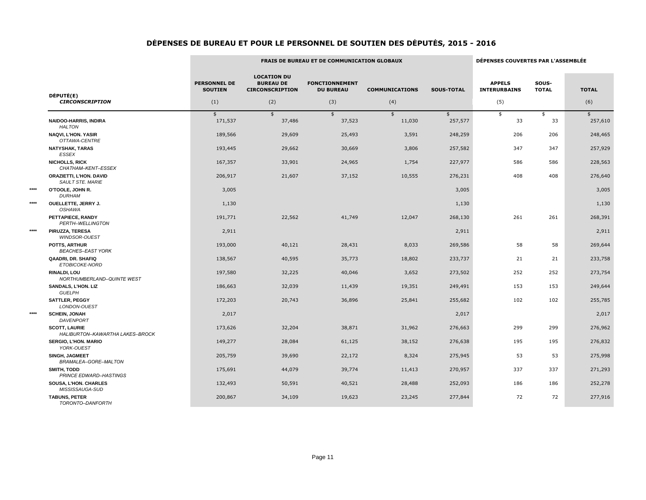|      |                                                           |                                       |                                                                  | <b>FRAIS DE BUREAU ET DE COMMUNICATION GLOBAUX</b> |                       |                   | DÉPENSES COUVERTES PAR L'ASSEMBLÉE   |                       |               |  |
|------|-----------------------------------------------------------|---------------------------------------|------------------------------------------------------------------|----------------------------------------------------|-----------------------|-------------------|--------------------------------------|-----------------------|---------------|--|
|      |                                                           | <b>PERSONNEL DE</b><br><b>SOUTIEN</b> | <b>LOCATION DU</b><br><b>BUREAU DE</b><br><b>CIRCONSCRIPTION</b> | <b>FONCTIONNEMENT</b><br><b>DU BUREAU</b>          | <b>COMMUNICATIONS</b> | <b>SOUS-TOTAL</b> | <b>APPELS</b><br><b>INTERURBAINS</b> | SOUS-<br><b>TOTAL</b> | <b>TOTAL</b>  |  |
|      | DÉPUTÉ(E)<br><b>CIRCONSCRIPTION</b>                       | (1)                                   | (2)                                                              | (3)                                                | (4)                   |                   | (5)                                  |                       | (6)           |  |
|      |                                                           | $\frac{1}{2}$                         | $\frac{1}{2}$                                                    | $\frac{1}{2}$                                      | $\frac{1}{2}$         | $\frac{1}{2}$     | $\frac{1}{2}$                        | \$                    | $\frac{1}{2}$ |  |
|      | <b>NAIDOO-HARRIS, INDIRA</b><br>HALTON                    | 171,537                               | 37,486                                                           | 37,523                                             | 11,030                | 257,577           | 33                                   | 33                    | 257,610       |  |
|      | <b>NAQVI, L'HON. YASIR</b><br>OTTAWA-CENTRE               | 189,566                               | 29,609                                                           | 25,493                                             | 3,591                 | 248,259           | 206                                  | 206                   | 248,465       |  |
|      | <b>NATYSHAK, TARAS</b><br><b>ESSEX</b>                    | 193,445                               | 29,662                                                           | 30,669                                             | 3,806                 | 257,582           | 347                                  | 347                   | 257,929       |  |
|      | <b>NICHOLLS, RICK</b><br>CHATHAM-KENT-ESSEX               | 167,357                               | 33,901                                                           | 24,965                                             | 1,754                 | 227,977           | 586                                  | 586                   | 228,563       |  |
|      | <b>ORAZIETTI, L'HON. DAVID</b><br><b>SAULT STE. MARIE</b> | 206,917                               | 21,607                                                           | 37,152                                             | 10,555                | 276,231           | 408                                  | 408                   | 276,640       |  |
| **** | O'TOOLE, JOHN R.<br><b>DURHAM</b>                         | 3,005                                 |                                                                  |                                                    |                       | 3,005             |                                      |                       | 3,005         |  |
| **** | <b>OUELLETTE, JERRY J.</b><br>OSHAWA                      | 1,130                                 |                                                                  |                                                    |                       | 1,130             |                                      |                       | 1,130         |  |
|      | PETTAPIECE, RANDY<br>PERTH-WELLINGTON                     | 191,771                               | 22,562                                                           | 41,749                                             | 12,047                | 268,130           | 261                                  | 261                   | 268,391       |  |
| **** | PIRUZZA, TERESA<br>WINDSOR-OUEST                          | 2,911                                 |                                                                  |                                                    |                       | 2,911             |                                      |                       | 2,911         |  |
|      | POTTS, ARTHUR<br><b>BEACHES-EAST YORK</b>                 | 193,000                               | 40,121                                                           | 28,431                                             | 8,033                 | 269,586           | 58                                   | 58                    | 269,644       |  |
|      | QAADRI, DR. SHAFIQ<br>ETOBICOKE-NORD                      | 138,567                               | 40,595                                                           | 35,773                                             | 18,802                | 233,737           | 21                                   | 21                    | 233,758       |  |
|      | <b>RINALDI, LOU</b><br>NORTHUMBERLAND-QUINTE WEST         | 197,580                               | 32,225                                                           | 40,046                                             | 3,652                 | 273,502           | 252                                  | 252                   | 273,754       |  |
|      | <b>SANDALS, L'HON. LIZ</b><br><b>GUELPH</b>               | 186,663                               | 32,039                                                           | 11,439                                             | 19,351                | 249,491           | 153                                  | 153                   | 249,644       |  |
|      | <b>SATTLER, PEGGY</b><br>LONDON-OUEST                     | 172,203                               | 20,743                                                           | 36,896                                             | 25,841                | 255,682           | 102                                  | 102                   | 255,785       |  |
| **** | <b>SCHEIN, JONAH</b><br>DAVENPORT                         | 2,017                                 |                                                                  |                                                    |                       | 2,017             |                                      |                       | 2,017         |  |
|      | <b>SCOTT, LAURIE</b><br>HALIBURTON-KAWARTHA LAKES-BROCK   | 173,626                               | 32,204                                                           | 38,871                                             | 31,962                | 276,663           | 299                                  | 299                   | 276,962       |  |
|      | <b>SERGIO, L'HON. MARIO</b><br>YORK-OUEST                 | 149,277                               | 28,084                                                           | 61,125                                             | 38,152                | 276,638           | 195                                  | 195                   | 276,832       |  |
|      | SINGH, JAGMEET<br>BRAMALEA-GORE-MALTON                    | 205,759                               | 39,690                                                           | 22,172                                             | 8,324                 | 275,945           | 53                                   | 53                    | 275,998       |  |
|      | <b>SMITH, TODD</b><br><b>PRINCE EDWARD-HASTINGS</b>       | 175,691                               | 44,079                                                           | 39,774                                             | 11,413                | 270,957           | 337                                  | 337                   | 271,293       |  |
|      | SOUSA, L'HON. CHARLES<br>MISSISSAUGA-SUD                  | 132,493                               | 50,591                                                           | 40,521                                             | 28,488                | 252,093           | 186                                  | 186                   | 252,278       |  |
|      | <b>TABUNS, PETER</b><br>TORONTO-DANFORTH                  | 200,867                               | 34,109                                                           | 19,623                                             | 23,245                | 277,844           | 72                                   | 72                    | 277,916       |  |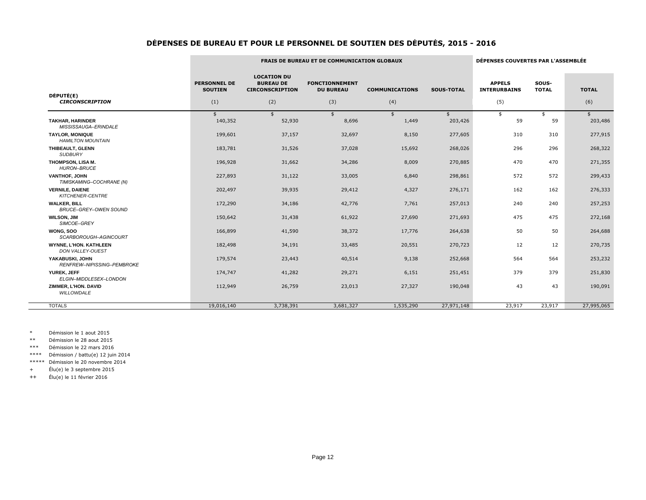|                                                     |                                              |                                                                         | <b>FRAIS DE BUREAU ET DE COMMUNICATION GLOBAUX</b> |                              |                   | DÉPENSES COUVERTES PAR L'ASSEMBLÉE          |                       |                     |
|-----------------------------------------------------|----------------------------------------------|-------------------------------------------------------------------------|----------------------------------------------------|------------------------------|-------------------|---------------------------------------------|-----------------------|---------------------|
| DÉPUTÉ(E)<br><b>CIRCONSCRIPTION</b>                 | <b>PERSONNEL DE</b><br><b>SOUTIEN</b><br>(1) | <b>LOCATION DU</b><br><b>BUREAU DE</b><br><b>CIRCONSCRIPTION</b><br>(2) | <b>FONCTIONNEMENT</b><br><b>DU BUREAU</b><br>(3)   | <b>COMMUNICATIONS</b><br>(4) | <b>SOUS-TOTAL</b> | <b>APPELS</b><br><b>INTERURBAINS</b><br>(5) | SOUS-<br><b>TOTAL</b> | <b>TOTAL</b><br>(6) |
|                                                     | \$                                           | \$                                                                      | $\frac{1}{2}$                                      | \$                           |                   | \$                                          | \$                    | $\frac{1}{2}$       |
| <b>TAKHAR, HARINDER</b><br>MISSISSAUGA-ERINDALE     | 140,352                                      | 52,930                                                                  | 8,696                                              | 1,449                        | 203,426           | 59                                          | 59                    | 203,486             |
| <b>TAYLOR, MONIQUE</b><br><b>HAMILTON MOUNTAIN</b>  | 199,601                                      | 37,157                                                                  | 32,697                                             | 8,150                        | 277,605           | 310                                         | 310                   | 277,915             |
| THIBEAULT, GLENN<br><b>SUDBURY</b>                  | 183,781                                      | 31,526                                                                  | 37,028                                             | 15,692                       | 268,026           | 296                                         | 296                   | 268,322             |
| THOMPSON, LISA M.<br><b>HURON-BRUCE</b>             | 196,928                                      | 31,662                                                                  | 34,286                                             | 8,009                        | 270,885           | 470                                         | 470                   | 271,355             |
| <b>VANTHOF, JOHN</b><br>TIMISKAMING-COCHRANE (N)    | 227,893                                      | 31,122                                                                  | 33,005                                             | 6,840                        | 298,861           | 572                                         | 572                   | 299,433             |
| <b>VERNILE, DAIENE</b><br>KITCHENER-CENTRE          | 202,497                                      | 39,935                                                                  | 29,412                                             | 4,327                        | 276,171           | 162                                         | 162                   | 276,333             |
| <b>WALKER, BILL</b><br><b>BRUCE-GREY-OWEN SOUND</b> | 172,290                                      | 34,186                                                                  | 42,776                                             | 7,761                        | 257,013           | 240                                         | 240                   | 257,253             |
| <b>WILSON, JIM</b><br>SIMCOE-GREY                   | 150,642                                      | 31,438                                                                  | 61,922                                             | 27,690                       | 271,693           | 475                                         | 475                   | 272,168             |
| WONG, SOO<br>SCARBOROUGH-AGINCOURT                  | 166,899                                      | 41,590                                                                  | 38,372                                             | 17,776                       | 264,638           | 50                                          | 50                    | 264,688             |
| <b>WYNNE, L'HON. KATHLEEN</b><br>DON VALLEY-OUEST   | 182,498                                      | 34,191                                                                  | 33,485                                             | 20,551                       | 270,723           | 12                                          | 12                    | 270,735             |
| YAKABUSKI, JOHN<br>RENFREW-NIPISSING-PEMBROKE       | 179,574                                      | 23,443                                                                  | 40,514                                             | 9,138                        | 252,668           | 564                                         | 564                   | 253,232             |
| YUREK, JEFF<br>ELGIN-MIDDLESEX-LONDON               | 174,747                                      | 41,282                                                                  | 29,271                                             | 6,151                        | 251,451           | 379                                         | 379                   | 251,830             |
| ZIMMER, L'HON. DAVID<br>WILLOWDALE                  | 112,949                                      | 26,759                                                                  | 23,013                                             | 27,327                       | 190,048           | 43                                          | 43                    | 190,091             |
| <b>TOTALS</b>                                       | 19,016,140                                   | 3,738,391                                                               | 3,681,327                                          | 1,535,290                    | 27,971,148        | 23,917                                      | 23,917                | 27,995,065          |

\* Démission le 1 aout 2015

\*\* Démission le 28 aout 2015

\*\*\* Démission le 22 mars 2016

\*\*\*\* Démission / battu(e) 12 juin 2014

\*\*\*\*\* Démission le 20 novembre 2014

+ Élu(e) le 3 septembre 2015

++ Élu(e) le 11 février 2016